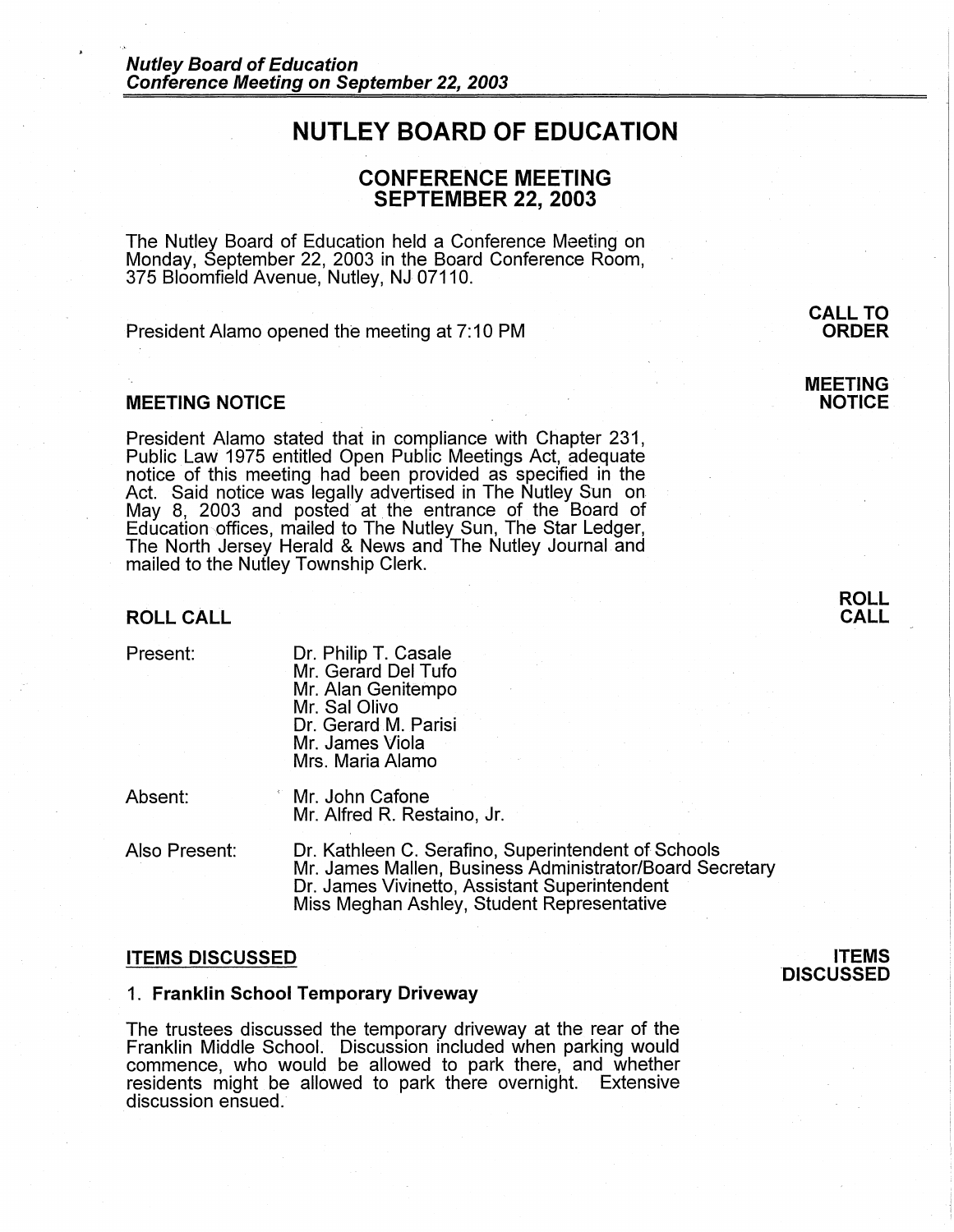# **NUTLEY BOARD OF EDUCATION**

# **CONFERENCE MEETING SEPTEMBER 22, 2003**

The Nutley Board of Education held a Conference Meeting on Monday, September 22, 2003 in the Board Conference Room, 375 Bloomfield Avenue, Nutley, NJ 07110.

President Alamo opened the meeting at 7:10 PM

# **MEETING NOTICE**

President Alamo stated that in compliance with Chapter 231, Public Law 1975 entitled Open Public Meetings Act, adequate notice of this meeting had been provided as specified in the Act. Said notice was legally advertised in The Nutley Sun on May 8, 2003 and posted at the entrance of the Board of Education ,offices, mailed to The Nutley Sun, The Star Ledger, The North Jersey Herald & News and The Nutley Journal and mailed to the Nutley Township Clerk.

#### **ROLL CALL**

| Present: |
|----------|
|          |

Dr. Philip T. Casale Mr. Gerard Del Tufo Mr. Alan Genitempo Mr. Sal Olivo Dr. Gerard M. Parisi Mr. James Viola Mrs. Maria Alamo

Absent:

Mr. John Cafone Mr. Alfred R. Restaino, Jr.

Also Present:

Dr. Kathleen C. Serafino, Superintendent of Schools Mr. James Mallen, Business Administrator/Board Secretary Dr. James Vivinetto, Assistant Superintendent Miss Meghan Ashley, Student Representative

# **ITEMS DISCUSSED**

#### 1. **Franklin School Temporary Driveway**

The trustees discussed the temporary driveway at the rear of the Franklin Middle School. Discussion included when parking would commence, who would be allowed to park there, and whether residents might be allowed to park there overnight. Extensive discussion ensued.

# **ITEMS DISCUSSED**

# **MEETING NOTICE**

**ROLL CALL** 



**CALL TO**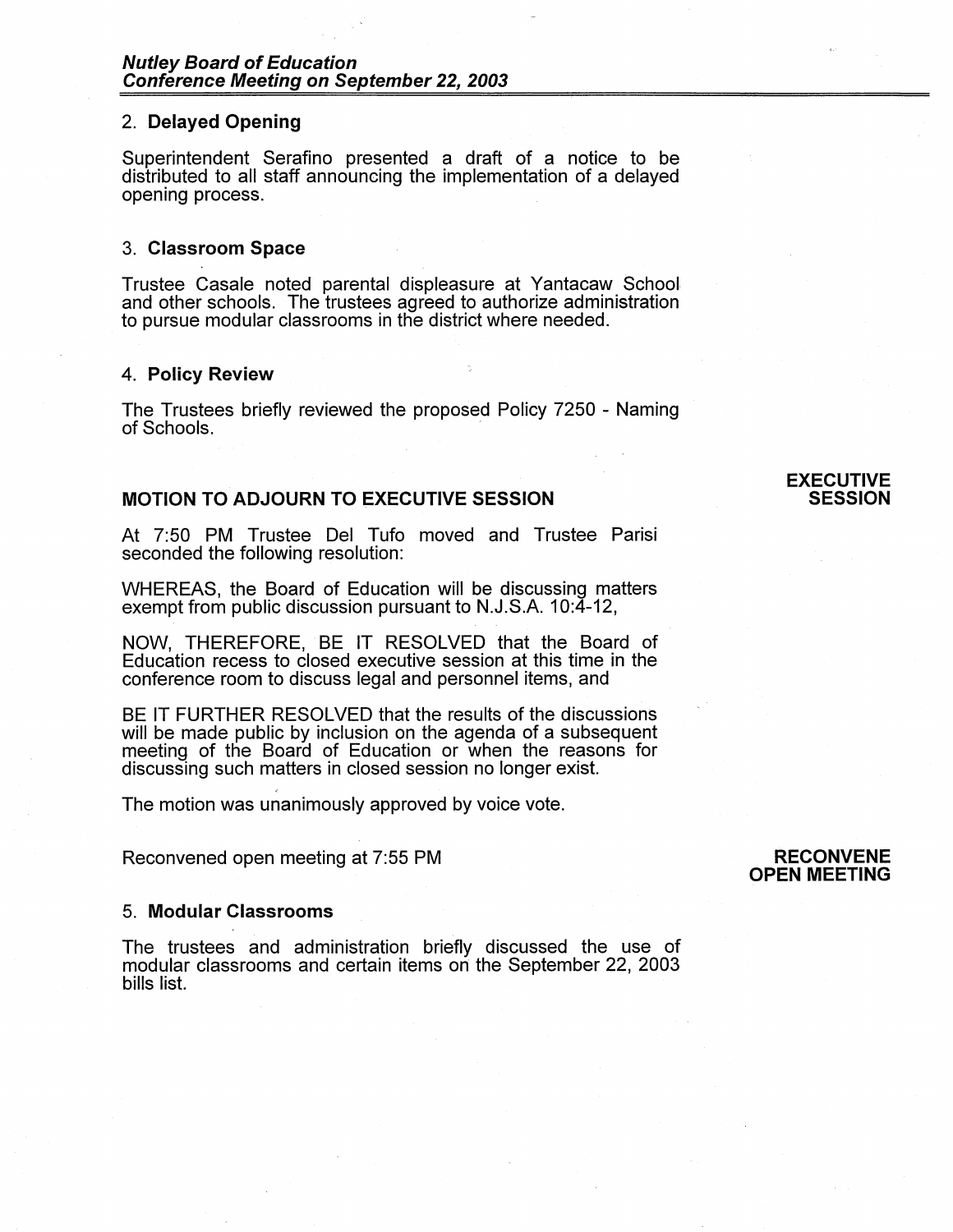# 2. **Delayed Opening**

Superintendent Serafino presented a draft of a notice to be distributed to all staff announcing the implementation of a delayed opening process.

#### 3. **Classroom Space**

Trustee Casale noted parental displeasure at Yantacaw School, and other schools. The trustees agreed to authorize administration to pursue modular classrooms in the district where needed.

#### **4. Policy Review**

The Trustees briefly reviewed the proposed Policy 7250 - Naming of Schools.

# **MOTION TO ADJOURN TO EXECUTIVE SESSION**

At 7:50 PM Trustee Del Tufo moved and Trustee Parisi seconded the following resolution:

WHEREAS, the Board of Education will be discussing matters exempt from public discussion pursuant to N.J.S.A. 10:4-12,

NOW, THEREFORE, BE IT RESOLVED that the Board of Education recess to closed executive session at this time in the conference room to discuss legal and personnel items, and

BE IT FURTHER RESOLVED that the results of the discussions will be made public by inclusion on the agenda of a subsequent meeting of the Board of Education or when the reasons for discussing such matters in closed session no longer exist.

The motion was unanimously approved by voice vote.

Reconvened open meeting at 7:55 PM

# **RECONVENE OPEN MEETING**

# 5. **Modular Classrooms**

The trustees and administration briefly discussed the use of modular classrooms and certain items on the September 22, 2003 bills list.

# **EXECUTIVE SESSION**